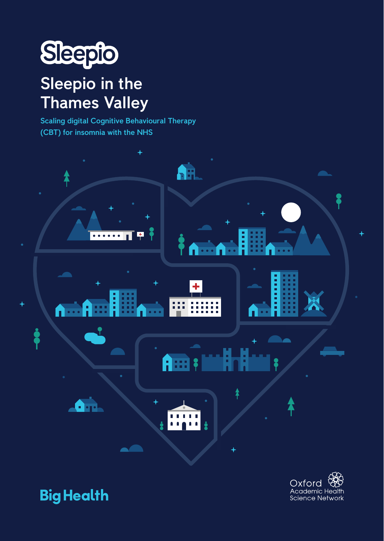

## Sleepio in the Thames Valley

Scaling digital Cognitive Behavioural Therapy (CBT) for insomnia with the NHS





Oxford Academic Health **Science Network**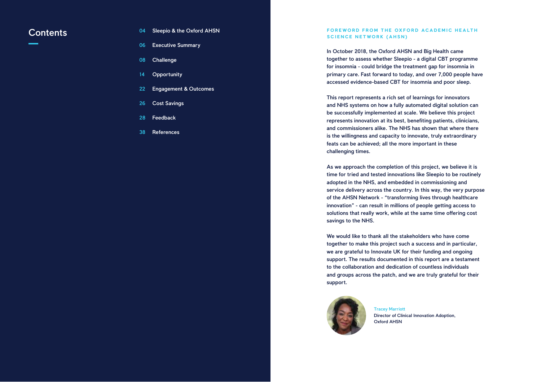In October 2018, the Oxford AHSN and Big Health came together to assess whether Sleepio - a digital CBT programme for insomnia - could bridge the treatment gap for insomnia in primary care. Fast forward to today, and over 7,000 people have accessed evidence-based CBT for insomnia and poor sleep.

This report represents a rich set of learnings for innovators and NHS systems on how a fully automated digital solution can be successfully implemented at scale. We believe this project represents innovation at its best, benefiting patients, clinicians, and commissioners alike. The NHS has shown that where there is the willingness and capacity to innovate, truly extraordinary feats can be achieved; all the more important in these challenging times.

#### **Contents Example 2014** Sleepio & the Oxford AHSN **Example 2014 Example 2016 CONTENTS EXAMPLE A LEGISLATE AND A CADEMIC HEALTH SCIENCE NETWORK (AHSN)**

- 04 Sleepio & the Oxford AHSN
- 06 Executive Summary
- 08 **Challenge**
- 14 **Opportunity**
- 22 Engagement & Outcomes
- 26 Cost Savings
- 28 Feedback
- 38 **References**

As we approach the completion of this project, we believe it is time for tried and tested innovations like Sleepio to be routinely adopted in the NHS, and embedded in commissioning and service delivery across the country. In this way, the very purpose of the AHSN Network - "transforming lives through healthcare innovation" - can result in millions of people getting access to solutions that really work, while at the same time offering cost savings to the NHS.

We would like to thank all the stakeholders who have come together to make this project such a success and in particular, we are grateful to Innovate UK for their funding and ongoing support. The results documented in this report are a testament to the collaboration and dedication of countless individuals and groups across the patch, and we are truly grateful for their support.



Tracey Marriott Oxford AHSN

Director of Clinical Innovation Adoption,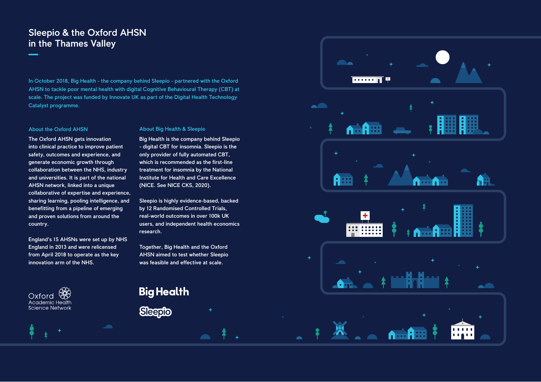#### About Big Health & Sleepio

Big Health is the company behind Sleepio - digital CBT for insomnia. Sleepio is the only provider of fully automated CBT, which is recommended as the first-line treatment for insomnia by the National Institute for Health and Care Excellence (NICE. See NICE CKS, 2020).

Sleepio is highly evidence-based, backed by 12 Randomised Controlled Trials, real-world outcomes in over 100k UK users, and independent health economics research.

Together, Big Health and the Oxford AHSN aimed to test whether Sleepio was feasible and effective at scale.





#### About the Oxford AHSN

The Oxford AHSN gets innovation into clinical practice to improve patient safety, outcomes and experience, and generate economic growth through collaboration between the NHS, industry and universities. It is part of the national AHSN network, linked into a unique collaborative of expertise and experience, sharing learning, pooling intelligence, and benefitting from a pipeline of emerging and proven solutions from around the country.

England's 15 AHSNs were set up by NHS England in 2013 and were relicensed from April 2018 to operate as the key innovation arm of the NHS.



In October 2018, Big Health - the company behind Sleepio - partnered with the Oxford AHSN to tackle poor mental health with digital Cognitive Behavioural Therapy (CBT) at scale. The project was funded by Innovate UK as part of the Digital Health Technology Catalyst programme.

## Sleepio & the Oxford AHSN in the Thames Valley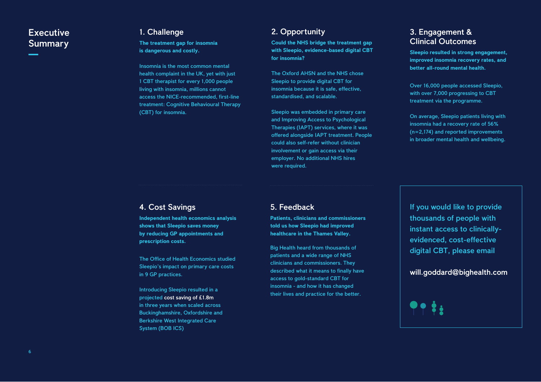#### 2. Opportunity

**Could the NHS bridge the treatment gap with Sleepio, evidence-based digital CBT for insomnia?**

The Oxford AHSN and the NHS chose Sleepio to provide digital CBT for insomnia because it is safe, effective, standardised, and scalable.

Sleepio was embedded in primary care and Improving Access to Psychological Therapies (IAPT) services, where it was offered alongside IAPT treatment. People could also self-refer without clinician involvement or gain access via their employer. No additional NHS hires were required.

## **Executive Summary**

#### 1. Challenge

#### **The treatment gap for insomnia is dangerous and costly.**

Insomnia is the most common mental health complaint in the UK, yet with just 1 CBT therapist for every 1,000 people living with insomnia, millions cannot access the NICE-recommended, first-line treatment: Cognitive Behavioural Therapy (CBT) for insomnia.

#### 3. Engagement & Clinical Outcomes

**Sleepio resulted in strong engagement, improved insomnia recovery rates, and better all-round mental health.** 

Over 16,000 people accessed Sleepio, with over 7,000 progressing to CBT treatment via the programme.

On average, Sleepio patients living with insomnia had a recovery rate of 56% (n=2,174) and reported improvements in broader mental health and wellbeing.

#### 5. Feedback

**Patients, clinicians and commissioners told us how Sleepio had improved healthcare in the Thames Valley.**

Big Health heard from thousands of patients and a wide range of NHS clinicians and commissioners. They described what it means to finally have access to gold-standard CBT for insomnia - and how it has changed their lives and practice for the better.

#### 4. Cost Savings

**Independent health economics analysis shows that Sleepio saves money by reducing GP appointments and prescription costs.**

The Office of Health Economics studied Sleepio's impact on primary care costs in 9 GP practices.

Introducing Sleepio resulted in a projected cost saving of £1.8m in three years when scaled across Buckinghamshire, Oxfordshire and Berkshire West Integrated Care System (BOB ICS)

If you would like to provide thousands of people with instant access to clinicallyevidenced, cost-effective digital CBT, please email

will.goddard@bighealth.com

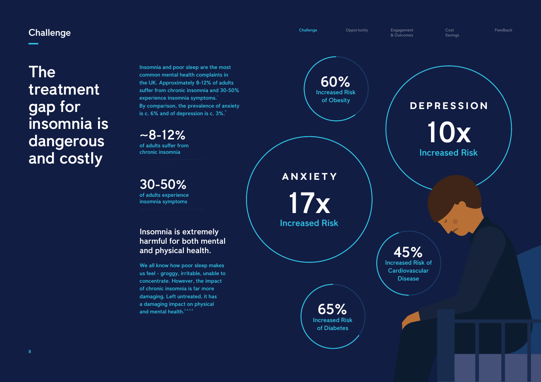Challenge Opportunity Engagement

& Outcomes

### **Challenge**

Cost Savings Feedback

The treatment gap for insomnia is dangerous and costly

> We all know how poor sleep makes us feel - groggy, irritable, unable to concentrate. However, the impact of chronic insomnia is far more damaging. Left untreated, it has a damaging impact on physical and mental health.<sup>3, 4, 5, 6</sup>

#### Insomnia is extremely harmful for both mental and physical health.

 $~-8-12\%$ of adults suffer from chronic insomnia

> 45% Increased Risk of **Cardiovascular Disease**

Insomnia and poor sleep are the most common mental health complaints in the UK. Approximately 8-12% of adults suffer from chronic insomnia and 30-50% experience insomnia symptoms. 1 By comparison, the prevalence of anxiety is c. 6% and of depression is c. 3%. $3$ 

> 65% Increased Risk of Diabetes

17x Increased Risk

**ANXIETY**

10x Increased Risk **DEPRESSION**

60% Increased Risk of Obesity

30-50% of adults experience insomnia symptoms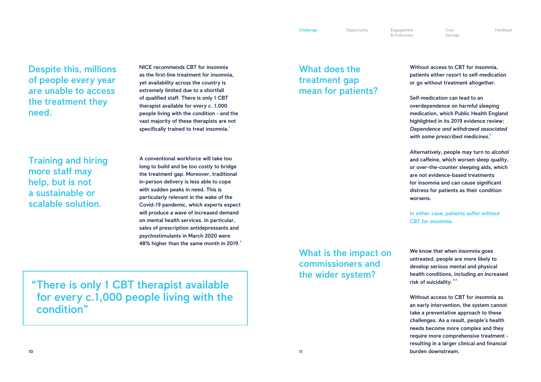Despite this, millions of people every year are unable to access the treatment they need.

Training and hiring more staff may help, but is not a sustainable or scalable solution.

Self-medication can lead to an overdependence on harmful sleeping medication, which Public Health England highlighted in its 2019 evidence review: *Dependence and withdrawal associated*  with some prescribed medicines.<sup>9</sup>

"There is only 1 CBT therapist available for every c.1,000 people living with the condition"

Without access to CBT for insomnia, patients either resort to self-medication or go without treatment altogether.

NICE recommends CBT for insomnia as the first-line treatment for insomnia, yet availability across the country is extremely limited due to a shortfall of qualified staff. There is only 1 CBT therapist available for every c. 1,000 people living with the condition - and the vast majority of these therapists are not specifically trained to treat insomnia.<sup>7</sup>

A conventional workforce will take too long to build and be too costly to bridge the treatment gap. Moreover, traditional in-person delivery is less able to cope with sudden peaks in need. This is particularly relevant in the wake of the Covid-19 pandemic, which experts expect will produce a wave of increased demand on mental health services. In particular, sales of prescription antidepressants and psychostimulants in March 2020 were 48% higher than the same month in 2019. Alternatively, people may turn to alcohol and caffeine, which worsen sleep quality, or over-the-counter sleeping aids, which are not evidence-based treatments for insomnia and can cause significant distress for patients as their condition worsens.

In either case, patients suffer without CBT for insomnia.

What does the treatment gap mean for patients?

> We know that when insomnia goes untreated, people are more likely to develop serious mental and physical health conditions, including an increased risk of suicidality.<sup>10,11</sup>

What is the impact on commissioners and the wider system?

& Outcomes

Cost Savings Feedback

Without access to CBT for insomnia as an early intervention, the system cannot take a preventative approach to these challenges. As a result, people's health needs become more complex and they require more comprehensive treatment resulting in a larger clinical and financial burden downstream.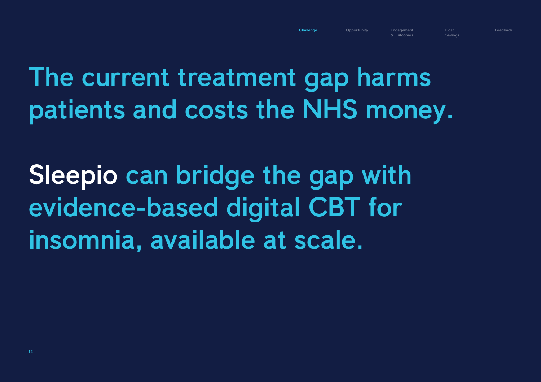# The current treatment gap harms patients and costs the NHS money.

Cost **Savings** 



Sleepio can bridge the gap with evidence-based digital CBT for insomnia, available at scale.

& Outcomes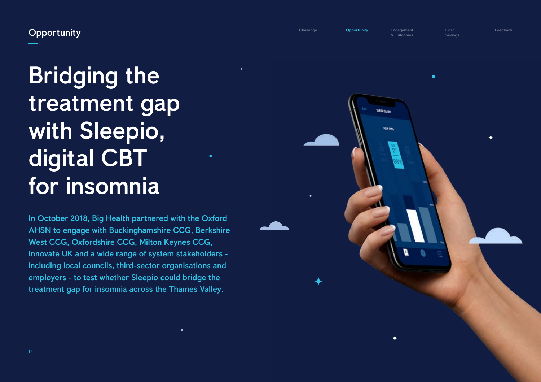# Bridging the treatment gap with Sleepio, digital CBT for insomnia

In October 2018, Big Health partnered with the Oxford AHSN to engage with Buckinghamshire CCG, Berkshire West CCG, Oxfordshire CCG, Milton Keynes CCG, Innovate UK and a wide range of system stakeholders including local councils, third-sector organisations and employers - to test whether Sleepio could bridge the treatment gap for insomnia across the Thames Valley.

 $\bullet$ 



Challenge **Opportunity** Engagement

& Outcomes

## **Opportunity**

Cost Savings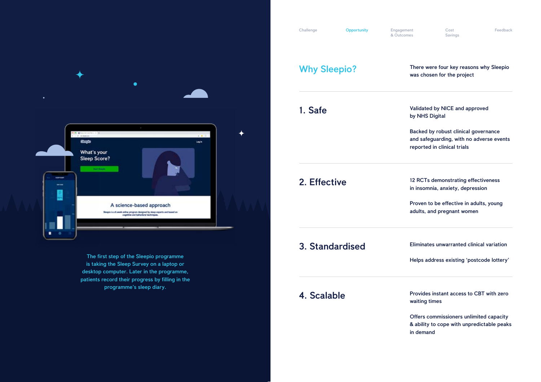

The first step of the Sleepio programme is taking the Sleep Survey on a laptop or desktop computer. Later in the programme, patients record their progress by filling in the programme's sleep diary.

Challenge **Opportunity** Engagement

#### Why Sleepio? There were four key reasons why Sleepio was chosen for the project

1. Safe Validated by NICE and approved by NHS Digital

> Backed by robust clinical governance and safeguarding, with no adverse events reported in clinical trials

2. Effective 12 RCTs demonstrating effectiveness in insomnia, anxiety, depression

## 3. Standardised

## 4. Scalable

Eliminates unwarranted clinical variation

Helps address existing 'postcode lottery'

Provides instant access to CBT with zero waiting times

Offers commissioners unlimited capacity & ability to cope with unpredictable peaks in demand

& Outcomes

Cost Savings Feedback

Proven to be effective in adults, young adults, and pregnant women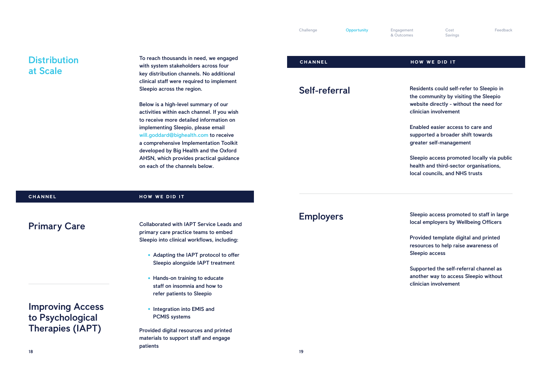**CHANNEL TO REACH TO REACH THE REACH THE REACH TO REACH THE REACH THE REACH THE REACH THE REACH THE REACH THE REACH THE REACH THE REACH THE REACH THE REACH THE REACH THE REACH THE REACH THE REACH THE REACH THE REACH THE RE** with system stakeholders across four key distribution channels. No additional clinical staff were required to implement Sleepio across the region.

Below is a high-level summary of our activities within each channel. If you wish to receive more detailed information on implementing Sleepio, please email will.goddard@bighealth.com to receive a comprehensive Implementation Toolkit developed by Big Health and the Oxford AHSN, which provides practical guidance on each of the channels below.

Primary Care

& Outcomes

Cost Savings Feedback

### Self-referral

### **Distribution** at Scale

### Employers

- Residents could self-refer to Sleepio in the community by visiting the Sleepio website directly - without the need for clinician involvement
- Enabled easier access to care and supported a broader shift towards greater self-management
- Sleepio access promoted locally via public health and third-sector organisations, local councils, and NHS trusts

- Adapting the IAPT protocol to offer Sleepio alongside IAPT treatment
- Hands-on training to educate staff on insomnia and how to refer patients to Sleepio
- Integration into EMIS and PCMIS systems

Sleepio access promoted to staff in large local employers by Wellbeing Officers

- Provided template digital and printed resources to help raise awareness of Sleepio access
- Supported the self-referral channel as another way to access Sleepio without clinician involvement

Collaborated with IAPT Service Leads and primary care practice teams to embed Sleepio into clinical workflows, including:

Provided digital resources and printed materials to support staff and engage patients

#### **CHANNEL HOW WE DID IT**

Improving Access to Psychological Therapies (IAPT)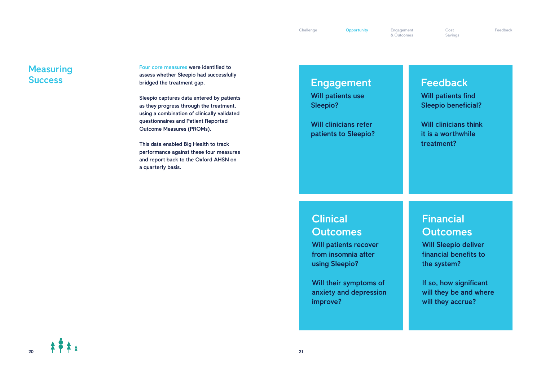Four core measures were identified to assess whether Sleepio had successfully bridged the treatment gap.

Sleepio captures data entered by patients as they progress through the treatment, using a combination of clinically validated questionnaires and Patient Reported Outcome Measures (PROMs).

This data enabled Big Health to track performance against these four measures and report back to the Oxford AHSN on a quarterly basis.

## Financial **Outcomes**

If so, how significant will they be and where will they accrue?

20

& Outcomes

### **Measuring Success**

Cost Savings Feedback

## Engagement

Will patients use Sleepio?

Will clinicians refer patients to Sleepio?

## **Clinical Outcomes**

Will patients recover from insomnia after using Sleepio?

Will their symptoms of anxiety and depression improve?

 $\frac{1}{2}$ 

Will Sleepio deliver financial benefits to the system?

## Feedback Will patients find Sleepio beneficial?

Will clinicians think it is a worthwhile treatment?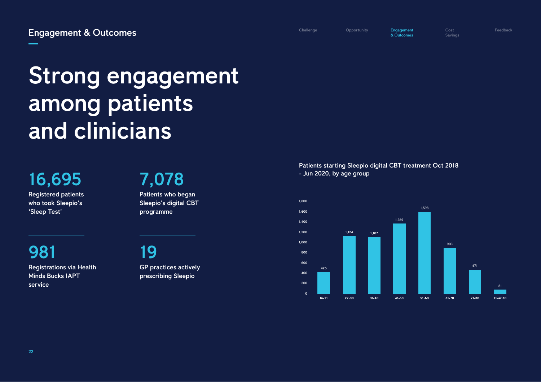16,695

Registered patients who took Sleepio's 'Sleep Test'

7,078

# Strong engagement among patients and clinicians

Patients who began Sleepio's digital CBT programme

19

GP practices actively prescribing Sleepio

981 Registrations via Health Minds Bucks IAPT service

Patients starting Sleepio digital CBT treatment Oct 2018 - Jun 2020, by age group

Challenge Opportunity **Engagement** 

& Outcomes

Cost Savings





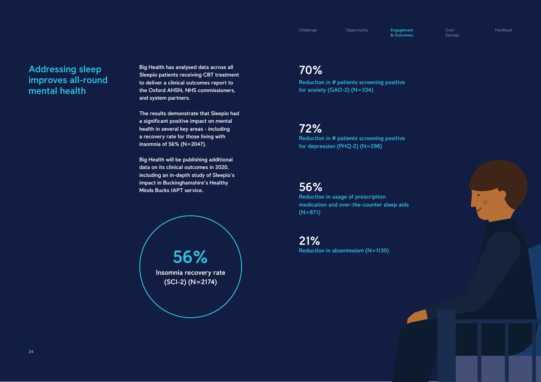Challenge Opportunity **Engagement** 

## Addressing sleep improves all-round mental health

Big Health has analysed data across all Sleepio patients receiving CBT treatment to deliver a clinical outcomes report to the Oxford AHSN, NHS commissioners, and system partners.

The results demonstrate that Sleepio had a significant positive impact on mental health in several key areas - including a recovery rate for those living with insomnia of 56% (N=2047).

Big Health will be publishing additional data on its clinical outcomes in 2020, including an in-depth study of Sleepio's impact in Buckinghamshire's Healthy Minds Bucks IAPT service.

56% Insomnia recovery rate (SCI-2) (N=2174)

## 56%

Reduction in usage of prescription medication and over-the-counter sleep aids (N=871)

## 70%

Reduction in # patients screening positive for anxiety (GAD-2) (N=334)

## 72%

Reduction in # patients screening positive for depression (PHQ-2) (N=298)

21%

Reduction in absenteeism (N=1130)

& Outcomes

Cost Savings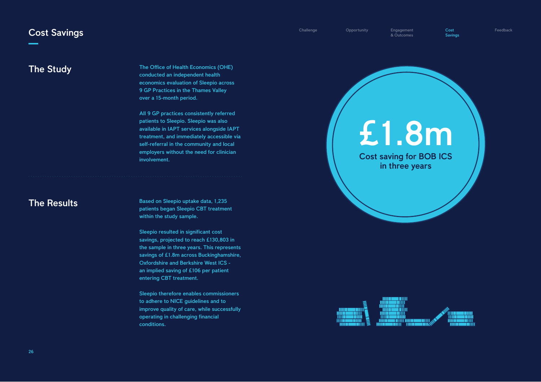The Office of Health Economics (OHE) conducted an independent health economics evaluation of Sleepio across 9 GP Practices in the Thames Valley over a 15-month period.

All 9 GP practices consistently referred patients to Sleepio. Sleepio was also available in IAPT services alongside IAPT treatment, and immediately accessible via self-referral in the community and local employers without the need for clinician involvement.

Based on Sleepio uptake data, 1,235 patients began Sleepio CBT treatment within the study sample.

Sleepio resulted in significant cost savings, projected to reach £130,803 in the sample in three years. This represents savings of £1.8m across Buckinghamshire, Oxfordshire and Berkshire West ICS an implied saving of £106 per patient entering CBT treatment.

Sleepio therefore enables commissioners to adhere to NICE guidelines and to improve quality of care, while successfully operating in challenging financial conditions.

Challenge Opportunity Engagement

& Outcomes

Cost Savings Feedback



# £1.8m Cost saving for BOB ICS in three years

| Π      |   |  |
|--------|---|--|
| П<br>Ш | П |  |
|        |   |  |
|        | Ξ |  |

#### The Study

## The Results

#### Cost Savings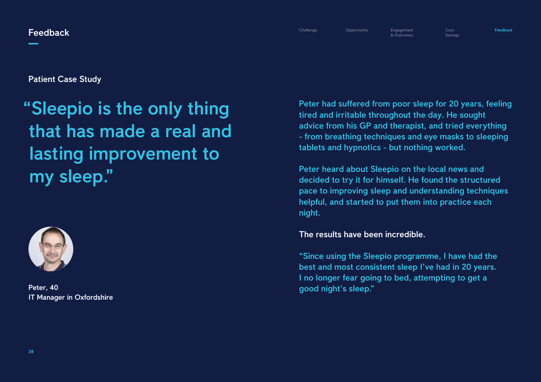# "Sleepio is the only thing that has made a real and lasting improvement to my sleep."



Patient Case Study

Peter, 40 IT Manager in Oxfordshire

**Feedback** 

Cost Savings Feedback

Peter had suffered from poor sleep for 20 years, feeling tired and irritable throughout the day. He sought advice from his GP and therapist, and tried everything - from breathing techniques and eye masks to sleeping tablets and hypnotics - but nothing worked.

Peter heard about Sleepio on the local news and decided to try it for himself. He found the structured pace to improving sleep and understanding techniques helpful, and started to put them into practice each night.

#### The results have been incredible.

"Since using the Sleepio programme, I have had the best and most consistent sleep I've had in 20 years. I no longer fear going to bed, attempting to get a good night's sleep."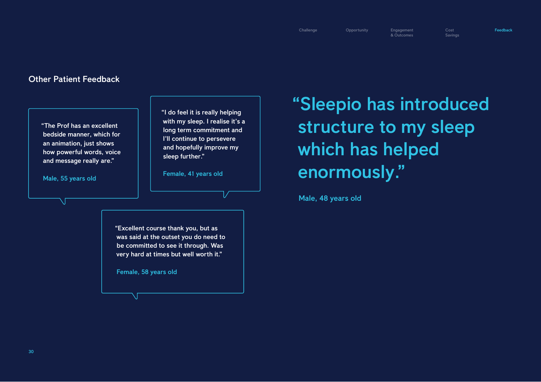### Other Patient Feedback

& Outcomes

Cost Savings Feedback

"Sleepio has introduced structure to my sleep which has helped enormously."

Male, 48 years old

"Excellent course thank you, but as was said at the outset you do need to be committed to see it through. Was very hard at times but well worth it."

Female, 58 years old

N

"The Prof has an excellent bedside manner, which for an animation, just shows how powerful words, voice and message really are."

Male, 55 years old

"I do feel it is really helping with my sleep. I realise it's a long term commitment and I'll continue to persevere and hopefully improve my sleep further."

Female, 41 years old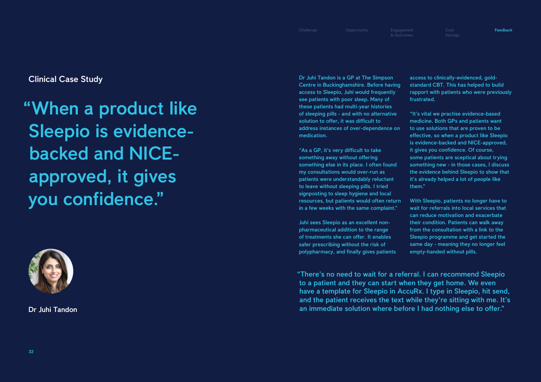# "When a product like Sleepio is evidencebacked and NICEapproved, it gives you confidence."



Clinical Case Study

Dr Juhi Tandon

Feedback

Dr Juhi Tandon is a GP at The Simpson Centre in Buckinghamshire. Before having access to Sleepio, Juhi would frequently see patients with poor sleep. Many of these patients had multi-year histories of sleeping pills - and with no alternative solution to offer, it was difficult to address instances of over-dependence on medication.

"As a GP, it's very difficult to take something away without offering something else in its place. I often found my consultations would over-run as patients were understandably reluctant to leave without sleeping pills. I tried signposting to sleep hygiene and local resources, but patients would often return in a few weeks with the same complaint."

Juhi sees Sleepio as an excellent nonpharmaceutical addition to the range of treatments she can offer. It enables safer prescribing without the risk of polypharmacy, and finally gives patients access to clinically-evidenced, goldstandard CBT. This has helped to build rapport with patients who were previously frustrated.

"It's vital we practise evidence-based medicine. Both GPs and patients want to use solutions that are proven to be effective, so when a product like Sleepio is evidence-backed and NICE-approved, it gives you confidence. Of course, some patients are sceptical about trying something new - in those cases, I discuss the evidence behind Sleepio to show that it's already helped a lot of people like them."

With Sleepio, patients no longer have to wait for referrals into local services that can reduce motivation and exacerbate their condition. Patients can walk away from the consultation with a link to the Sleepio programme and get started the same day - meaning they no longer feel empty-handed without pills.

"There's no need to wait for a referral. I can recommend Sleepio to a patient and they can start when they get home. We even have a template for Sleepio in AccuRx. I type in Sleepio, hit send, and the patient receives the text while they're sitting with me. It's an immediate solution where before I had nothing else to offer."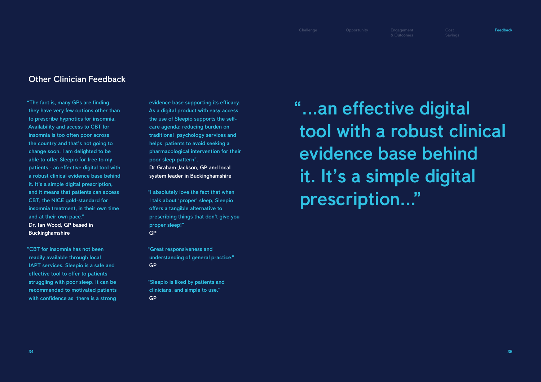"The fact is, many GPs are finding they have very few options other than to prescribe hypnotics for insomnia. Availability and access to CBT for insomnia is too often poor across the country and that's not going to change soon. I am delighted to be able to offer Sleepio for free to my patients - an effective digital tool with a robust clinical evidence base behind it. It's a simple digital prescription, and it means that patients can access CBT, the NICE gold-standard for insomnia treatment, in their own time and at their own pace." Dr. Ian Wood, GP based in **Buckinghamshire** 

"CBT for insomnia has not been readily available through local IAPT services. Sleepio is a safe and effective tool to offer to patients struggling with poor sleep. It can be recommended to motivated patients with confidence as there is a strong

evidence base supporting its efficacy. As a digital product with easy access the use of Sleepio supports the selfcare agenda; reducing burden on traditional psychology services and helps patients to avoid seeking a pharmacological intervention for their poor sleep pattern".

Dr Graham Jackson, GP and local system leader in Buckinghamshire

"I absolutely love the fact that when I talk about 'proper' sleep, Sleepio offers a tangible alternative to prescribing things that don't give you proper sleep!" GP

"Great responsiveness and understanding of general practice." GP

"Sleepio is liked by patients and clinicians, and simple to use." GP

"...an effective digital tool with a robust clinical evidence base behind it. It's a simple digital prescription..."

### Other Clinician Feedback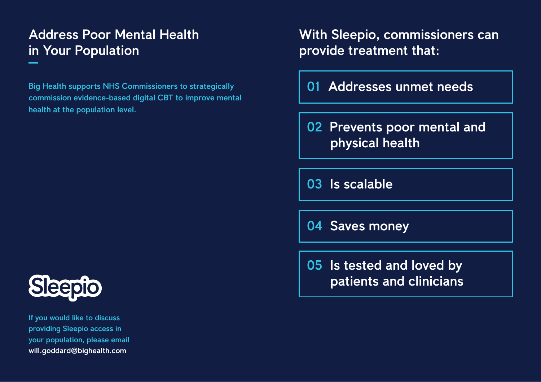Big Health supports NHS Commissioners to strategically commission evidence-based digital CBT to improve mental health at the population level.

36 will.goddard@bighealth.com If you would like to discuss providing Sleepio access in your population, please email

## Address Poor Mental Health in Your Population

With Sleepio, commissioners can provide treatment that:

01 Addresses unmet needs

02 Prevents poor mental and physical health

05 Is tested and loved by patients and clinicians



03 Is scalable

04 Saves money